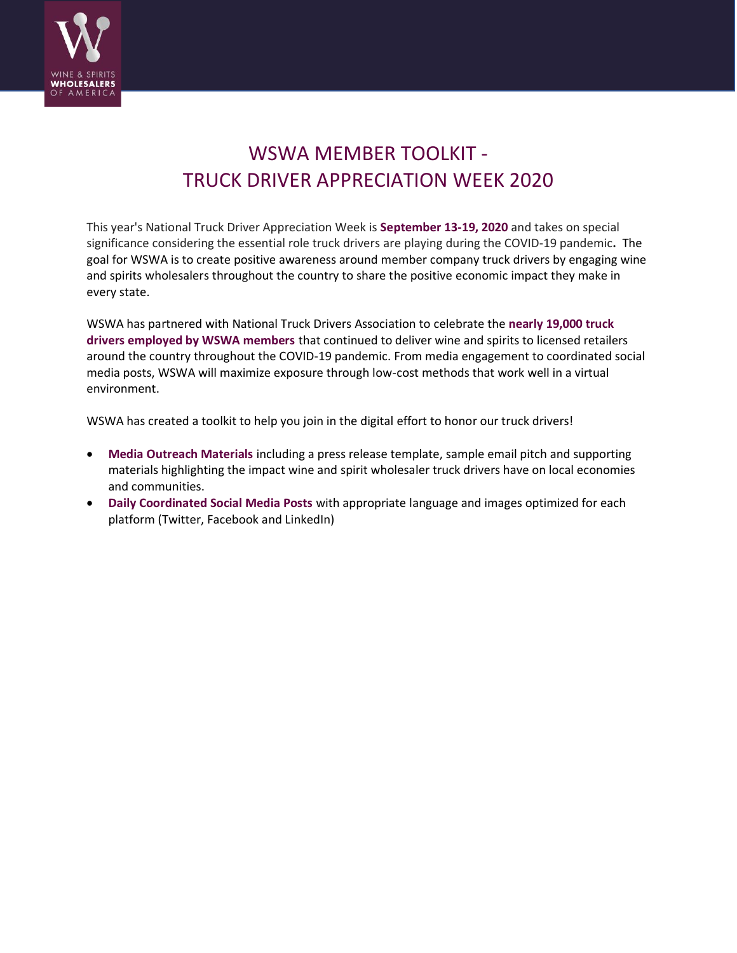

# WSWA MEMBER TOOLKIT - TRUCK DRIVER APPRECIATION WEEK 2020

This year's National Truck Driver Appreciation Week is **September 13-19, 2020** and takes on special significance considering the essential role truck drivers are playing during the COVID-19 pandemic**.** The goal for WSWA is to create positive awareness around member company truck drivers by engaging wine and spirits wholesalers throughout the country to share the positive economic impact they make in every state.

WSWA has partnered with National Truck Drivers Association to celebrate the **nearly 19,000 truck drivers employed by WSWA members** that continued to deliver wine and spirits to licensed retailers around the country throughout the COVID-19 pandemic. From media engagement to coordinated social media posts, WSWA will maximize exposure through low-cost methods that work well in a virtual environment.

WSWA has created a toolkit to help you join in the digital effort to honor our truck drivers!

- **Media Outreach Materials** including a press release template, sample email pitch and supporting materials highlighting the impact wine and spirit wholesaler truck drivers have on local economies and communities.
- **Daily Coordinated Social Media Posts** with appropriate language and images optimized for each platform (Twitter, Facebook and LinkedIn)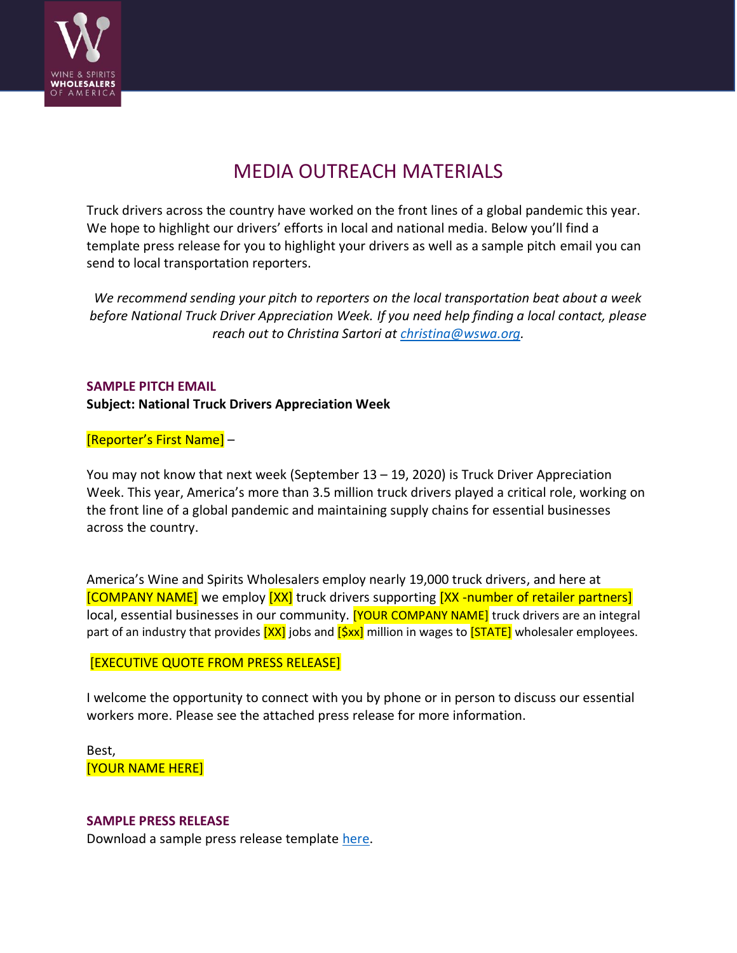

## MEDIA OUTREACH MATERIALS

Truck drivers across the country have worked on the front lines of a global pandemic this year. We hope to highlight our drivers' efforts in local and national media. Below you'll find a template press release for you to highlight your drivers as well as a sample pitch email you can send to local transportation reporters.

*We recommend sending your pitch to reporters on the local transportation beat about a week before National Truck Driver Appreciation Week. If you need help finding a local contact, please reach out to Christina Sartori at [christina@wswa.org.](mailto:christina@wswa.org)*

#### **SAMPLE PITCH EMAIL**

#### **Subject: National Truck Drivers Appreciation Week**

#### [Reporter's First Name] –

You may not know that next week (September 13 – 19, 2020) is Truck Driver Appreciation Week. This year, America's more than 3.5 million truck drivers played a critical role, working on the front line of a global pandemic and maintaining supply chains for essential businesses across the country.

America's Wine and Spirits Wholesalers employ nearly 19,000 truck drivers, and here at [COMPANY NAME] we employ [XX] truck drivers supporting [XX -number of retailer partners] local, essential businesses in our community. **[YOUR COMPANY NAME]** truck drivers are an integral part of an industry that provides  $[XX]$  jobs and  $[Sxx]$  million in wages to  $[STATE]$  wholesaler employees.

#### [EXECUTIVE QUOTE FROM PRESS RELEASE]

I welcome the opportunity to connect with you by phone or in person to discuss our essential workers more. Please see the attached press release for more information.

Best, [YOUR NAME HERE]

#### **SAMPLE PRESS RELEASE**

Download a sample press release template [here.](https://www.wswa.org/media/294)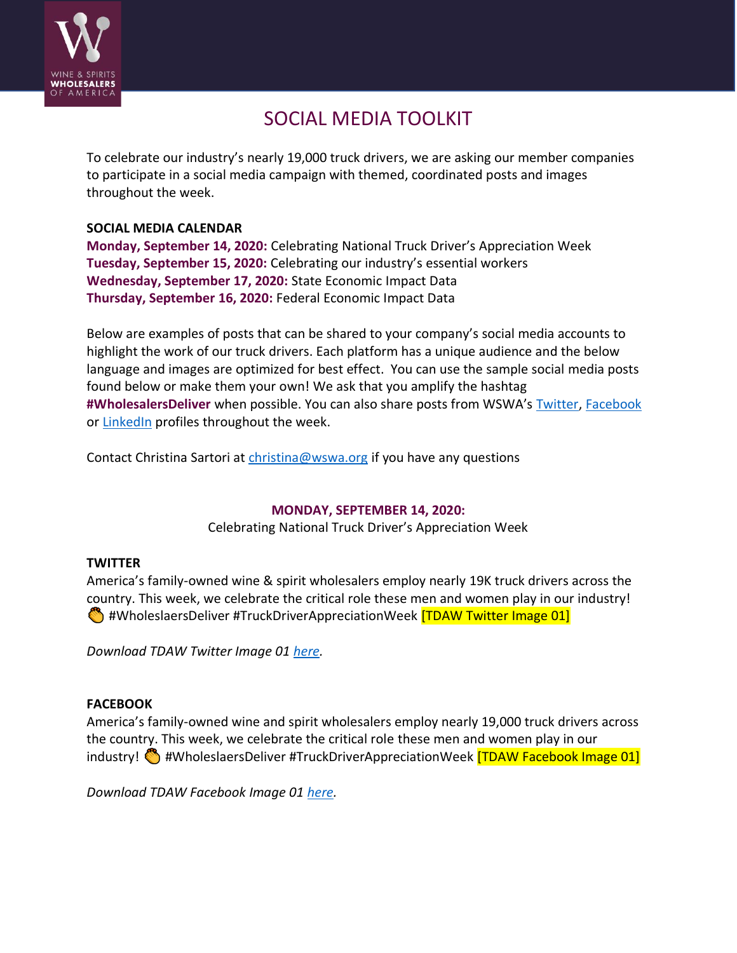

## SOCIAL MEDIA TOOLKIT

To celebrate our industry's nearly 19,000 truck drivers, we are asking our member companies to participate in a social media campaign with themed, coordinated posts and images throughout the week.

#### **SOCIAL MEDIA CALENDAR**

**Monday, September 14, 2020:** Celebrating National Truck Driver's Appreciation Week **Tuesday, September 15, 2020:** Celebrating our industry's essential workers **Wednesday, September 17, 2020:** State Economic Impact Data **Thursday, September 16, 2020:** Federal Economic Impact Data

Below are examples of posts that can be shared to your company's social media accounts to highlight the work of our truck drivers. Each platform has a unique audience and the below language and images are optimized for best effect. You can use the sample social media posts found below or make them your own! We ask that you amplify the hashtag **#WholesalersDeliver** when possible. You can also share posts from WSWA's [Twitter,](https://twitter.com/WSWAMedia) [Facebook](https://www.facebook.com/wswa/) or [LinkedIn](https://www.linkedin.com/company/wine-&-spirits-wholesalers-of-america) profiles throughout the week.

Contact Christina Sartori at [christina@wswa.org](mailto:christina@wswa.org) if you have any questions

#### **MONDAY, SEPTEMBER 14, 2020:**

Celebrating National Truck Driver's Appreciation Week

#### **TWITTER**

America's family-owned wine & spirit wholesalers employ nearly 19K truck drivers across the country. This week, we celebrate the critical role these men and women play in our industry!  $\bullet$  #WholeslaersDeliver #TruckDriverAppreciationWeek **[TDAW Twitter Image 01]** 

*Download TDAW Twitter Image 01 [here.](https://www.dropbox.com/s/2wj3tr5vikf8nug/TDAW%20Twitter%20Image%2001.png?dl=0)*

#### **FACEBOOK**

America's family-owned wine and spirit wholesalers employ nearly 19,000 truck drivers across the country. This week, we celebrate the critical role these men and women play in our industry!  $\bigcirc$  #WholeslaersDeliver #TruckDriverAppreciationWeek **[TDAW Facebook Image 01]** 

*Download TDAW Facebook Image 01 [here.](https://www.dropbox.com/s/80irgexibnrvffl/TDAW%20Facebook%20Image%2001.png?dl=0)*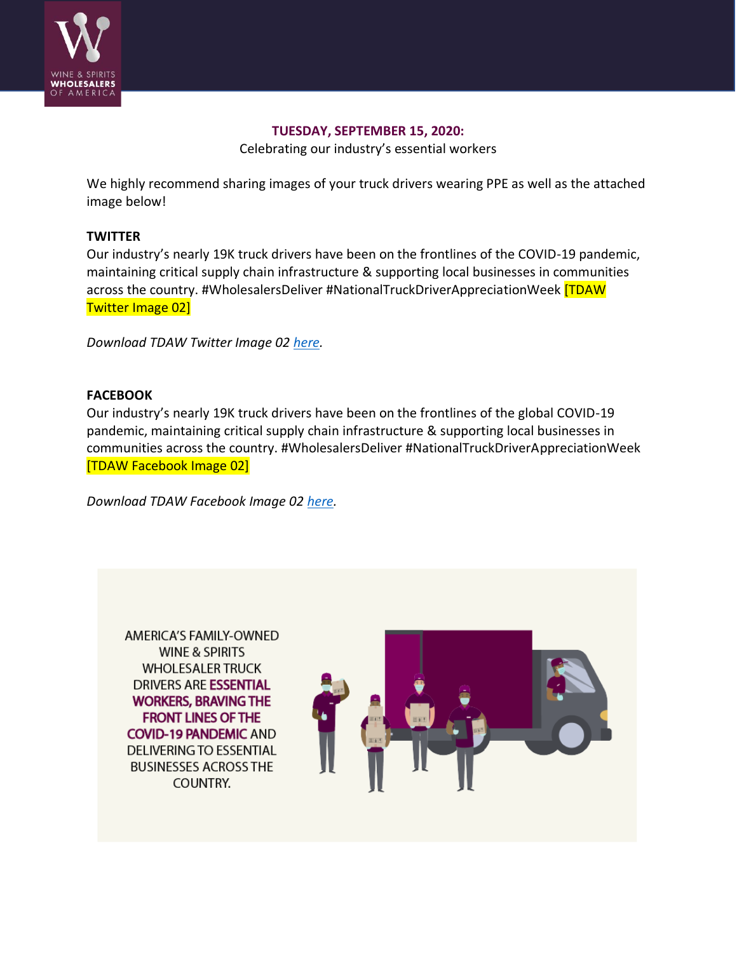

#### **TUESDAY, SEPTEMBER 15, 2020:**

Celebrating our industry's essential workers

We highly recommend sharing images of your truck drivers wearing PPE as well as the attached image below!

#### **TWITTER**

Our industry's nearly 19K truck drivers have been on the frontlines of the COVID-19 pandemic, maintaining critical supply chain infrastructure & supporting local businesses in communities across the country. #WholesalersDeliver #NationalTruckDriverAppreciationWeek [TDAW Twitter Image 02]

*Download TDAW Twitter Image 02 [here.](https://www.dropbox.com/s/l0q5e8tiiwsm70w/TDAW%20Twitter%20Image%2002.png?dl=0)*

#### **FACEBOOK**

Our industry's nearly 19K truck drivers have been on the frontlines of the global COVID-19 pandemic, maintaining critical supply chain infrastructure & supporting local businesses in communities across the country. #WholesalersDeliver #NationalTruckDriverAppreciationWeek [TDAW Facebook Image 02]

*Download TDAW Facebook Image 02 [here.](https://www.dropbox.com/s/of5gugleqq3wx4e/TDAW%20Facebook%20Image%2002.png?dl=0)*

**AMERICA'S FAMILY-OWNED WINE & SPIRITS WHOLESALER TRUCK DRIVERS ARE ESSENTIAL WORKERS, BRAVING THE FRONT LINES OF THE COVID-19 PANDEMIC AND DELIVERING TO ESSENTIAL BUSINESSES ACROSS THE COUNTRY.** 

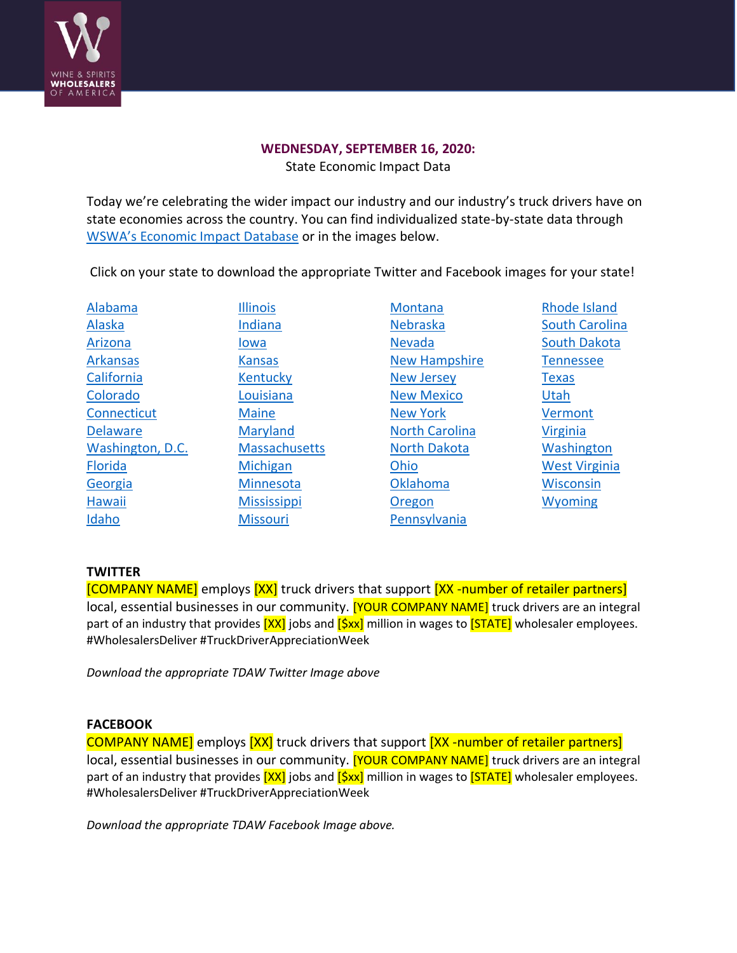

### **WEDNESDAY, SEPTEMBER 16, 2020:**

State Economic Impact Data

Today we're celebrating the wider impact our industry and our industry's truck drivers have on state economies across the country. You can find individualized state-by-state data through WSWA's Econ[omic Impact Database](https://www.wswa.org/data-and-impact/economic-database) or in the images below.

Click on your state to download the appropriate Twitter and Facebook images for your state!

| Alabama          | <b>Illinois</b>      | Montana               | <b>Rhode Island</b>   |
|------------------|----------------------|-----------------------|-----------------------|
| Alaska           | Indiana              | Nebraska              | <b>South Carolina</b> |
| Arizona          | lowa                 | <b>Nevada</b>         | <b>South Dakota</b>   |
| <b>Arkansas</b>  | <b>Kansas</b>        | <b>New Hampshire</b>  | <b>Tennessee</b>      |
| California       | Kentucky             | <b>New Jersey</b>     | <b>Texas</b>          |
| Colorado         | Louisiana            | <b>New Mexico</b>     | <b>Utah</b>           |
| Connecticut      | <b>Maine</b>         | <b>New York</b>       | Vermont               |
| <b>Delaware</b>  | Maryland             | <b>North Carolina</b> | <b>Virginia</b>       |
| Washington, D.C. | <b>Massachusetts</b> | <b>North Dakota</b>   | Washington            |
| <b>Florida</b>   | Michigan             | Ohio                  | <b>West Virginia</b>  |
| Georgia          | Minnesota            | Oklahoma              | <b>Wisconsin</b>      |
| Hawaii           | <b>Mississippi</b>   | Oregon                | <b>Wyoming</b>        |
| Idaho            | <b>Missouri</b>      | Pennsylvania          |                       |

#### **TWITTER**

[COMPANY NAME] employs [XX] truck drivers that support [XX -number of retailer partners] local, essential businesses in our community. [YOUR COMPANY NAME] truck drivers are an integral part of an industry that provides  $[XX]$  jobs and  $[Sxx]$  million in wages to  $[STATE]$  wholesaler employees. #WholesalersDeliver #TruckDriverAppreciationWeek

*Download the appropriate TDAW Twitter Image above*

#### **FACEBOOK**

COMPANY NAME] employs [XX] truck drivers that support [XX -number of retailer partners] local, essential businesses in our community. **[YOUR COMPANY NAME]** truck drivers are an integral part of an industry that provides  $[XX]$  jobs and  $[SX]$  million in wages to  $[STATE]$  wholesaler employees. #WholesalersDeliver #TruckDriverAppreciationWeek

*Download the appropriate TDAW Facebook Image above.*